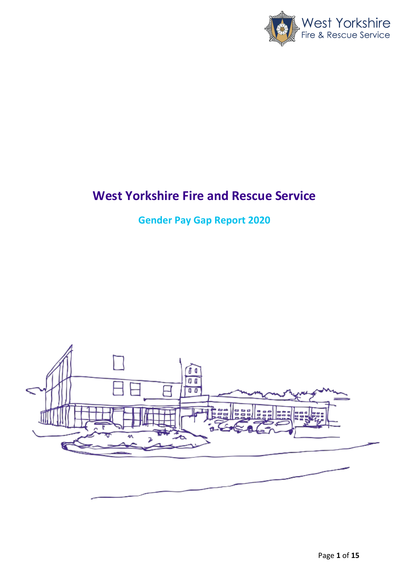

# **West Yorkshire Fire and Rescue Service**

**Gender Pay Gap Report 2020**

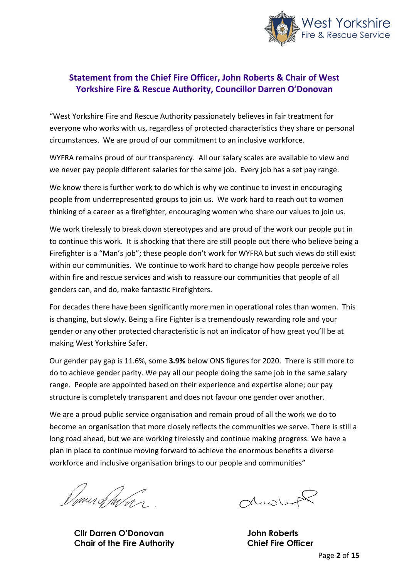

#### **Statement from the Chief Fire Officer, John Roberts & Chair of West Yorkshire Fire & Rescue Authority, Councillor Darren O'Donovan**

"West Yorkshire Fire and Rescue Authority passionately believes in fair treatment for everyone who works with us, regardless of protected characteristics they share or personal circumstances. We are proud of our commitment to an inclusive workforce.

WYFRA remains proud of our transparency. All our salary scales are available to view and we never pay people different salaries for the same job. Every job has a set pay range.

We know there is further work to do which is why we continue to invest in encouraging people from underrepresented groups to join us. We work hard to reach out to women thinking of a career as a firefighter, encouraging women who share our values to join us.

We work tirelessly to break down stereotypes and are proud of the work our people put in to continue this work. It is shocking that there are still people out there who believe being a Firefighter is a "Man's job"; these people don't work for WYFRA but such views do still exist within our communities. We continue to work hard to change how people perceive roles within fire and rescue services and wish to reassure our communities that people of all genders can, and do, make fantastic Firefighters.

For decades there have been significantly more men in operational roles than women. This is changing, but slowly. Being a Fire Fighter is a tremendously rewarding role and your gender or any other protected characteristic is not an indicator of how great you'll be at making West Yorkshire Safer.

Our gender pay gap is 11.6%, some **3.9%** below ONS figures for 2020. There is still more to do to achieve gender parity. We pay all our people doing the same job in the same salary range. People are appointed based on their experience and expertise alone; our pay structure is completely transparent and does not favour one gender over another.

We are a proud public service organisation and remain proud of all the work we do to become an organisation that more closely reflects the communities we serve. There is still a long road ahead, but we are working tirelessly and continue making progress. We have a plan in place to continue moving forward to achieve the enormous benefits a diverse workforce and inclusive organisation brings to our people and communities"

Dome of man

**Cllr Darren O'Donovan John Roberts Chair of the Fire Authority Chief Fire Officer**

divit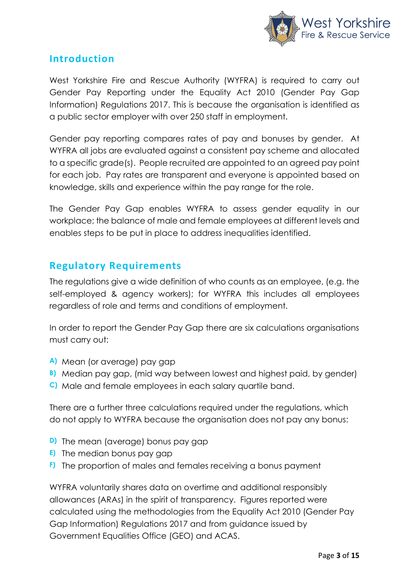

### **Introduction**

West Yorkshire Fire and Rescue Authority (WYFRA) is required to carry out Gender Pay Reporting under the Equality Act 2010 (Gender Pay Gap Information) Regulations 2017. This is because the organisation is identified as a public sector employer with over 250 staff in employment.

Gender pay reporting compares rates of pay and bonuses by gender. At WYFRA all jobs are evaluated against a consistent pay scheme and allocated to a specific grade(s). People recruited are appointed to an agreed pay point for each job. Pay rates are transparent and everyone is appointed based on knowledge, skills and experience within the pay range for the role.

The Gender Pay Gap enables WYFRA to assess gender equality in our workplace; the balance of male and female employees at different levels and enables steps to be put in place to address inequalities identified.

### **Regulatory Requirements**

The regulations give a wide definition of who counts as an employee, (e.g. the self-employed & agency workers); for WYFRA this includes all employees regardless of role and terms and conditions of employment.

In order to report the Gender Pay Gap there are six calculations organisations must carry out:

- **A)** Mean (or average) pay gap
- **B)** Median pay gap, (mid way between lowest and highest paid, by gender)
- **C)** Male and female employees in each salary quartile band.

There are a further three calculations required under the regulations, which do not apply to WYFRA because the organisation does not pay any bonus:

- **D)** The mean (average) bonus pay gap
- **E)** The median bonus pay gap
- **F)** The proportion of males and females receiving a bonus payment

WYFRA voluntarily shares data on overtime and additional responsibly allowances (ARAs) in the spirit of transparency. Figures reported were calculated using the methodologies from the Equality Act 2010 (Gender Pay Gap Information) Regulations 2017 and from guidance issued by Government Equalities Office (GEO) and ACAS.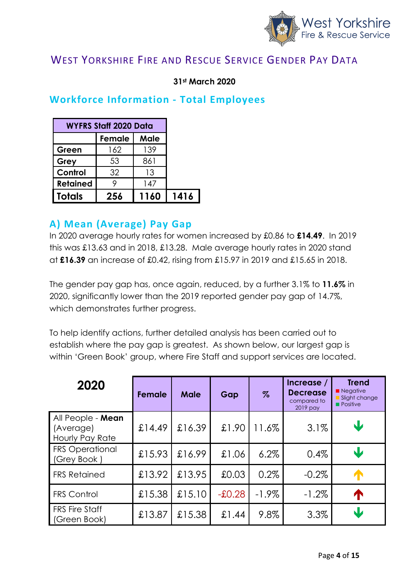

### WEST YORKSHIRE FIRE AND RESCUE SERVICE GENDER PAY DATA

#### **31st March 2020**

#### **Workforce Information - Total Employees**

|                 | <b>WYFRS Staff 2020 Data</b> |      |      |  |  |  |  |
|-----------------|------------------------------|------|------|--|--|--|--|
|                 | Female                       | Male |      |  |  |  |  |
| Green           | 162                          | 139  |      |  |  |  |  |
| Grey            | 53                           | 861  |      |  |  |  |  |
| Control         | 32                           | 13   |      |  |  |  |  |
| <b>Retained</b> |                              | 147  |      |  |  |  |  |
| <b>Totals</b>   | 256                          | 1160 | 1416 |  |  |  |  |

#### **A) Mean (Average) Pay Gap**

In 2020 average hourly rates for women increased by £0.86 to **£14.49**. In 2019 this was £13.63 and in 2018, £13.28. Male average hourly rates in 2020 stand at **£16.39** an increase of £0.42, rising from £15.97 in 2019 and £15.65 in 2018.

The gender pay gap has, once again, reduced, by a further 3.1% to **11.6%** in 2020, significantly lower than the 2019 reported gender pay gap of 14.7%, which demonstrates further progress.

To help identify actions, further detailed analysis has been carried out to establish where the pay gap is greatest. As shown below, our largest gap is within 'Green Book' group, where Fire Staff and support services are located.

| 2020                                              | <b>Female</b> | <b>Male</b> | Gap      | $\%$     | Increase /<br><b>Decrease</b><br>compared to<br>2019 pay | <b>Trend</b><br>Negative<br>Slight change<br><b>Positive</b> |
|---------------------------------------------------|---------------|-------------|----------|----------|----------------------------------------------------------|--------------------------------------------------------------|
| All People - Mean<br>(Average)<br>Hourly Pay Rate | £14.49        | £16.39      | £1.90    | 11.6%    | 3.1%                                                     | V                                                            |
| <b>FRS Operational</b><br>(Grey Book)             | £15.93        | £16.99      | £1.06    | 6.2%     | 0.4%                                                     | J                                                            |
| <b>FRS Retained</b>                               | £13.92        | £13.95      | £0.03    | 0.2%     | $-0.2\%$                                                 | $\sqrt{ }$                                                   |
| <b>FRS Control</b>                                | £15.38        | £15.10      | $-£0.28$ | $-1.9\%$ | $-1.2\%$                                                 | T                                                            |
| <b>FRS Fire Staff</b><br>(Green Book)             | £13.87        | £15.38      | £1.44    | 9.8%     | 3.3%                                                     | $\bf{J}$                                                     |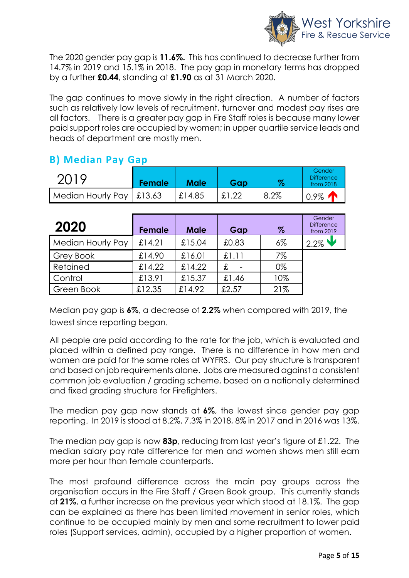

The 2020 gender pay gap is **11.6%.** This has continued to decrease further from 14.7% in 2019 and 15.1% in 2018. The pay gap in monetary terms has dropped by a further **£0.44**, standing at **£1.90** as at 31 March 2020.

The gap continues to move slowly in the right direction. A number of factors such as relatively low levels of recruitment, turnover and modest pay rises are all factors. There is a greater pay gap in Fire Staff roles is because many lower paid support roles are occupied by women; in upper quartile service leads and heads of department are mostly men.

### **B) Median Pay Gap**

| 2019                             | Female | <b>Male</b> | Gap   | %       | Gender<br><b>Difference</b><br>from $2018$ |
|----------------------------------|--------|-------------|-------|---------|--------------------------------------------|
| Median Hourly Pay $\vert$ £13.63 |        | £14.85      | £1.22 | $8.2\%$ | 0.9%                                       |

| 2020              | Female  | <b>Male</b> | Gap   | $\%$  | Gender<br><b>Difference</b><br>from 2019 |
|-------------------|---------|-------------|-------|-------|------------------------------------------|
| Median Hourly Pay | £14.21  | £15.04      | £0.83 | $6\%$ | $12.2\%$                                 |
| Grey Book         | \$14.90 | £16.01      | £1.11 | 7%    |                                          |
| Retained          | £14.22  | £14.22      | £     | 0%    |                                          |
| Control           | £13.91  | £15.37      | £1.46 | 10%   |                                          |
| Green Book        | £12.35  | £14.92      | £2.57 | 21%   |                                          |

Median pay gap is **6%**, a decrease of **2.2%** when compared with 2019, the lowest since reporting began.

All people are paid according to the rate for the job, which is evaluated and placed within a defined pay range. There is no difference in how men and women are paid for the same roles at WYFRS. Our pay structure is transparent and based on job requirements alone. Jobs are measured against a consistent common job evaluation / grading scheme, based on a nationally determined and fixed grading structure for Firefighters.

The median pay gap now stands at **6%**, the lowest since gender pay gap reporting. In 2019 is stood at 8.2%, 7.3% in 2018, 8% in 2017 and in 2016 was 13%.

The median pay gap is now **83p**, reducing from last year's figure of £1.22. The median salary pay rate difference for men and women shows men still earn more per hour than female counterparts.

The most profound difference across the main pay groups across the organisation occurs in the Fire Staff / Green Book group. This currently stands at **21%**, a further increase on the previous year which stood at 18.1%. The gap can be explained as there has been limited movement in senior roles, which continue to be occupied mainly by men and some recruitment to lower paid roles (Support services, admin), occupied by a higher proportion of women.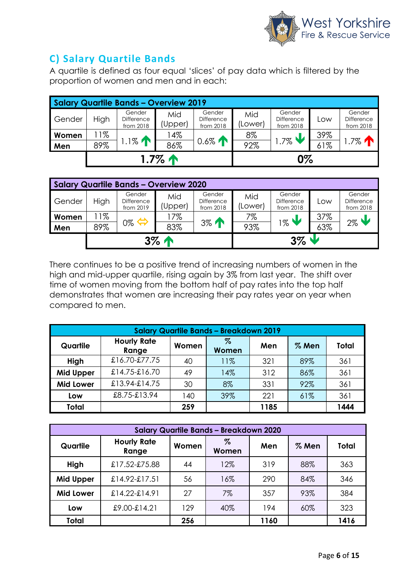

### **C) Salary Quartile Bands**

A quartile is defined as four equal 'slices' of pay data which is filtered by the proportion of women and men and in each:

| <b>Salary Quartile Bands - Overview 2019</b> |       |                                          |                |                                   |                |                                          |     |                                          |  |  |
|----------------------------------------------|-------|------------------------------------------|----------------|-----------------------------------|----------------|------------------------------------------|-----|------------------------------------------|--|--|
| Gender                                       | High  | Gender<br><b>Difference</b><br>from 2018 | Mid<br>(Upper) | Gender<br>Difference<br>from 2018 | Mid<br>(Lower) | Gender<br><b>Difference</b><br>from 2018 | LOW | Gender<br><b>Difference</b><br>from 2018 |  |  |
| Women                                        | $1\%$ |                                          | 14%            |                                   | 8%             |                                          | 39% |                                          |  |  |
| Men                                          | 89%   | $1\%$                                    | 86%            | $0.6\%$                           | 92%            | $.7\%$                                   | 61% | $.7\%$ 个                                 |  |  |
| $1.7\%$ 个                                    |       |                                          |                | 0%                                |                |                                          |     |                                          |  |  |

| <b>Salary Quartile Bands - Overview 2020</b> |       |                                          |                |                                          |                |                                          |     |                                          |  |  |
|----------------------------------------------|-------|------------------------------------------|----------------|------------------------------------------|----------------|------------------------------------------|-----|------------------------------------------|--|--|
| Gender                                       | High  | Gender<br><b>Difference</b><br>from 2019 | Mid<br>(Upper) | Gender<br><b>Difference</b><br>from 2018 | Mid<br>(Lower) | Gender<br><b>Difference</b><br>from 2018 | Low | Gender<br><b>Difference</b><br>from 2018 |  |  |
| Women                                        | $1\%$ |                                          | 17%            |                                          | 7%             |                                          | 37% | $2\%$                                    |  |  |
| Men                                          | 89%   | 0%                                       | 83%            | $3\%$                                    | 93%            | $1\%$                                    | 63% |                                          |  |  |
| $3\%$ $\uparrow$                             |       |                                          |                | $3\%$ $\blacktriangledown$               |                |                                          |     |                                          |  |  |

There continues to be a positive trend of increasing numbers of women in the high and mid-upper quartile, rising again by 3% from last year. The shift over time of women moving from the bottom half of pay rates into the top half demonstrates that women are increasing their pay rates year on year when compared to men.

| <b>Salary Quartile Bands - Breakdown 2019</b> |                             |       |               |      |         |              |  |  |  |
|-----------------------------------------------|-----------------------------|-------|---------------|------|---------|--------------|--|--|--|
| Quartile                                      | <b>Hourly Rate</b><br>Range | Women | $\%$<br>Women | Men  | $%$ Men | <b>Total</b> |  |  |  |
| High                                          | £16.70-£77.75               | 40    | 11%           | 321  | 89%     | 361          |  |  |  |
| <b>Mid Upper</b>                              | $£14.75-E16.70$             | 49    | 14%           | 312  | 86%     | 361          |  |  |  |
| <b>Mid Lower</b>                              | £13.94-£14.75               | 30    | 8%            | 331  | 92%     | 361          |  |  |  |
| Low                                           | £8.75-£13.94                | 140   | 39%           | 221  | 61%     | 361          |  |  |  |
| <b>Total</b>                                  |                             | 259   |               | 1185 |         | 1444         |  |  |  |

| <b>Salary Quartile Bands - Breakdown 2020</b> |                             |       |               |      |         |              |  |  |  |  |
|-----------------------------------------------|-----------------------------|-------|---------------|------|---------|--------------|--|--|--|--|
| Quartile                                      | <b>Hourly Rate</b><br>Range | Women | $\%$<br>Women | Men  | $%$ Men | <b>Total</b> |  |  |  |  |
| High                                          | £17.52-£75.88               | 44    | 12%           | 319  | 88%     | 363          |  |  |  |  |
| <b>Mid Upper</b>                              | $£14.92-E17.51$             | 56    | 16%           | 290  | 84%     | 346          |  |  |  |  |
| <b>Mid Lower</b>                              | $£14.22-E14.91$             | 27    | $7\%$         | 357  | 93%     | 384          |  |  |  |  |
| Low                                           | £9.00-£14.21                | 129   | 40%           | 194  | 60%     | 323          |  |  |  |  |
| <b>Total</b>                                  |                             | 256   |               | 1160 |         | 1416         |  |  |  |  |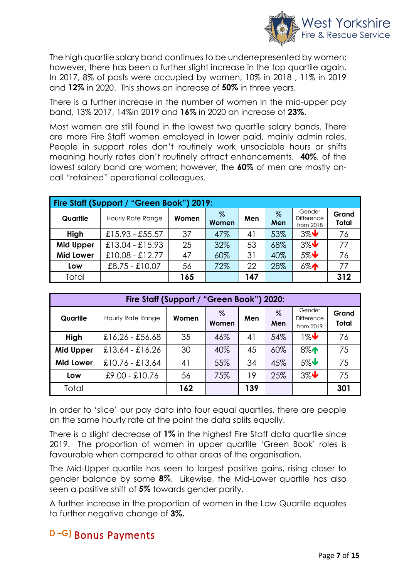

The high quartile salary band continues to be underrepresented by women; however, there has been a further slight increase in the top quartile again. In 2017, 8% of posts were occupied by women, 10% in 2018 , 11% in 2019 and **12%** in 2020. This shows an increase of **50%** in three years.

There is a further increase in the number of women in the mid-upper pay band, 13% 2017, 14%in 2019 and **16%** in 2020 an increase of **23%**.

Most women are still found in the lowest two quartile salary bands. There are more Fire Staff women employed in lower paid, mainly admin roles. People in support roles don't routinely work unsociable hours or shifts meaning hourly rates don't routinely attract enhancements. **40%**, of the lowest salary band are women; however, the **60%** of men are mostly oncall "retained" operational colleagues.

| Fire Staff (Support / "Green Book") 2019: |                   |       |            |     |             |                                          |                       |  |  |  |
|-------------------------------------------|-------------------|-------|------------|-----|-------------|------------------------------------------|-----------------------|--|--|--|
| Quartile                                  | Hourly Rate Range | Women | %<br>Women | Men | $\%$<br>Men | Gender<br><b>Difference</b><br>from 2018 | Grand<br><b>Total</b> |  |  |  |
| High                                      | $£15.93 - £55.57$ | 37    | 47%        | 41  | 53%         | $3\%$                                    | 76                    |  |  |  |
| <b>Mid Upper</b>                          | $£13.04 - £15.93$ | 25    | 32%        | 53  | 68%         | $3\%$                                    | 77                    |  |  |  |
| <b>Mid Lower</b>                          | $£10.08 - £12.77$ | 47    | 60%        | 31  | 40%         | $5\%$                                    | 76                    |  |  |  |
| Low                                       | $£8.75 - £10.07$  | 56    | 72%        | 22  | 28%         | $6\%$                                    | 77                    |  |  |  |
| Total                                     |                   | 165   |            | 147 |             |                                          | 312                   |  |  |  |

|                  | Fire Staff (Support / "Green Book") 2020: |       |            |     |          |                                          |                       |  |  |  |  |
|------------------|-------------------------------------------|-------|------------|-----|----------|------------------------------------------|-----------------------|--|--|--|--|
| Quartile         | Hourly Rate Range                         | Women | %<br>Women | Men | Z<br>Men | Gender<br><b>Difference</b><br>from 2019 | Grand<br><b>Total</b> |  |  |  |  |
| High             | $£16.26 - £56.68$                         | 35    | 46%        | 41  | 54%      | $1\%$                                    | 76                    |  |  |  |  |
| <b>Mid Upper</b> | $£13.64 - £16.26$                         | 30    | 40%        | 45  | 60%      | $8\%$                                    | 75                    |  |  |  |  |
| <b>Mid Lower</b> | $£10.76 - £13.64$                         | 41    | 55%        | 34  | 45%      | $5\%$                                    | 75                    |  |  |  |  |
| Low              | $£9.00 - £10.76$                          | 56    | 75%        | 19  | 25%      | $3\%$                                    | 75                    |  |  |  |  |
| Total            |                                           | 162   |            | 139 |          |                                          | 301                   |  |  |  |  |

In order to 'slice' our pay data into four equal quartiles, there are people on the same hourly rate at the point the data splits equally.

There is a slight decrease of **1%** in the highest Fire Staff data quartile since 2019. The proportion of women in upper quartile 'Green Book' roles is favourable when compared to other areas of the organisation.

The Mid-Upper quartile has seen to largest positive gains, rising closer to gender balance by some **8%**. Likewise, the Mid-Lower quartile has also seen a positive shift of **5%** towards gender parity.

A further increase in the proportion of women in the Low Quartile equates to further negative change of **3%.**

# **D –G)** Bonus Payments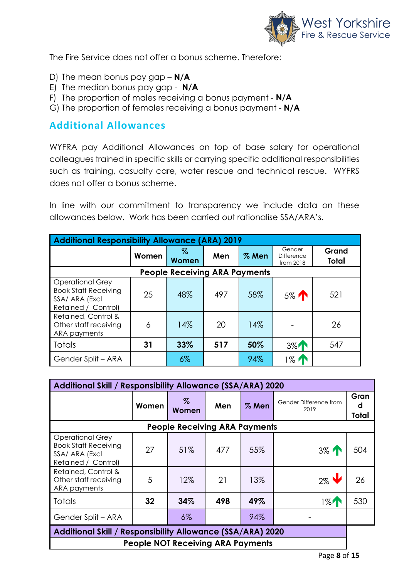

The Fire Service does not offer a bonus scheme. Therefore:

- D) The mean bonus pay gap **N/A**
- E) The median bonus pay gap **N/A**
- F) The proportion of males receiving a bonus payment **N/A**
- G) The proportion of females receiving a bonus payment **N/A**

#### **Additional Allowances**

WYFRA pay Additional Allowances on top of base salary for operational colleagues trained in specific skills or carrying specific additional responsibilities such as training, casualty care, water rescue and technical rescue. WYFRS does not offer a bonus scheme.

In line with our commitment to transparency we include data on these allowances below. Work has been carried out rationalise SSA/ARA's.

| <b>Additional Responsibility Allowance (ARA) 2019</b>                                           |       |                                      |     |       |                                          |                       |  |  |  |  |
|-------------------------------------------------------------------------------------------------|-------|--------------------------------------|-----|-------|------------------------------------------|-----------------------|--|--|--|--|
|                                                                                                 | Women | %<br>Women                           | Men | % Men | Gender<br><b>Difference</b><br>from 2018 | Grand<br><b>Total</b> |  |  |  |  |
|                                                                                                 |       | <b>People Receiving ARA Payments</b> |     |       |                                          |                       |  |  |  |  |
| <b>Operational Grey</b><br><b>Book Staff Receiving</b><br>SSA/ ARA (Excl<br>Retained / Control) | 25    | 48%                                  | 497 | 58%   | 5% T                                     | 521                   |  |  |  |  |
| Retained, Control &<br>Other staff receiving<br>ARA payments                                    | 6     | 14%                                  | 20  | 14%   |                                          | 26                    |  |  |  |  |
| <b>Totals</b>                                                                                   | 31    | 33%                                  | 517 | 50%   | $3\%$                                    | 547                   |  |  |  |  |
| Gender Split - ARA                                                                              |       | $6\%$                                |     | 94%   | 1%                                       |                       |  |  |  |  |

| Additional Skill / Responsibility Allowance (SSA/ARA) 2020                                      |       |                                          |     |         |                                |                    |  |  |  |
|-------------------------------------------------------------------------------------------------|-------|------------------------------------------|-----|---------|--------------------------------|--------------------|--|--|--|
|                                                                                                 | Women | $\%$<br>Women                            | Men | $%$ Men | Gender Difference from<br>2019 | Gran<br>d<br>Total |  |  |  |
|                                                                                                 |       | <b>People Receiving ARA Payments</b>     |     |         |                                |                    |  |  |  |
| <b>Operational Grey</b><br><b>Book Staff Receiving</b><br>SSA/ ARA (Excl<br>Retained / Control) | 27    | 51%                                      | 477 | 55%     | $3\%$                          | 504                |  |  |  |
| Retained, Control &<br>Other staff receiving<br>ARA payments                                    | 5     | 12%                                      | 21  | 13%     | $2\%$                          | 26                 |  |  |  |
| <b>Totals</b>                                                                                   | 32    | 34%                                      | 498 | 49%     | $1\%$                          | 530                |  |  |  |
| Gender Split - ARA                                                                              |       | $6\%$                                    |     | 94%     |                                |                    |  |  |  |
| Additional Skill / Responsibility Allowance (SSA/ARA) 2020                                      |       |                                          |     |         |                                |                    |  |  |  |
|                                                                                                 |       | <b>People NOT Receiving ARA Payments</b> |     |         |                                |                    |  |  |  |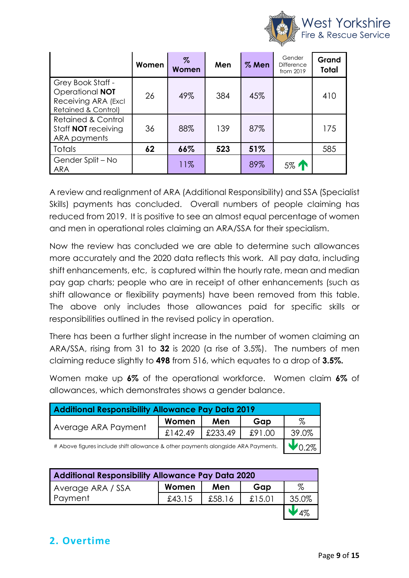

|                                                                                    | Women | $\%$<br>Women | Men | $%$ Men | Gender<br><b>Difference</b><br>from 2019 | Grand<br>Total |
|------------------------------------------------------------------------------------|-------|---------------|-----|---------|------------------------------------------|----------------|
| Grey Book Staff -<br>Operational NOT<br>Receiving ARA (Excl<br>Retained & Control) | 26    | 49%           | 384 | 45%     |                                          | 410            |
| <b>Retained &amp; Control</b><br>Staff <b>NOT</b> receiving<br>ARA payments        | 36    | 88%           | 139 | 87%     |                                          | 175            |
| <b>Totals</b>                                                                      | 62    | 66%           | 523 | 51%     |                                          | 585            |
| Gender Split - No<br><b>ARA</b>                                                    |       | 11%           |     | 89%     | 5% T                                     |                |

A review and realignment of ARA (Additional Responsibility) and SSA (Specialist Skills) payments has concluded. Overall numbers of people claiming has reduced from 2019. It is positive to see an almost equal percentage of women and men in operational roles claiming an ARA/SSA for their specialism.

Now the review has concluded we are able to determine such allowances more accurately and the 2020 data reflects this work. All pay data, including shift enhancements, etc, is captured within the hourly rate, mean and median pay gap charts; people who are in receipt of other enhancements (such as shift allowance or flexibility payments) have been removed from this table. The above only includes those allowances paid for specific skills or responsibilities outlined in the revised policy in operation.

There has been a further slight increase in the number of women claiming an ARA/SSA, rising from 31 to **32** is 2020 (a rise of 3.5%). The numbers of men claiming reduce slightly to **498** from 516, which equates to a drop of **3.5%.**

Women make up **6%** of the operational workforce. Women claim **6%** of allowances, which demonstrates shows a gender balance.

| <b>Additional Responsibility Allowance Pay Data 2019</b>                         |         |         |        |       |  |  |
|----------------------------------------------------------------------------------|---------|---------|--------|-------|--|--|
|                                                                                  | Women   | Men     |        | %     |  |  |
| Average ARA Payment                                                              | £142.49 | £233.49 | £91.00 | 39.0% |  |  |
| # Above figures include shift allowance & other payments alongside ARA Payments. |         |         |        |       |  |  |

| <b>Additional Responsibility Allowance Pay Data 2020</b> |        |        |        |       |  |  |  |
|----------------------------------------------------------|--------|--------|--------|-------|--|--|--|
| Average ARA / SSA                                        | Women  | Men    | Gap    | $\%$  |  |  |  |
| Payment                                                  | £43.15 | £58.16 | £15.01 | 35.0% |  |  |  |
|                                                          |        |        |        |       |  |  |  |

# **2. Overtime**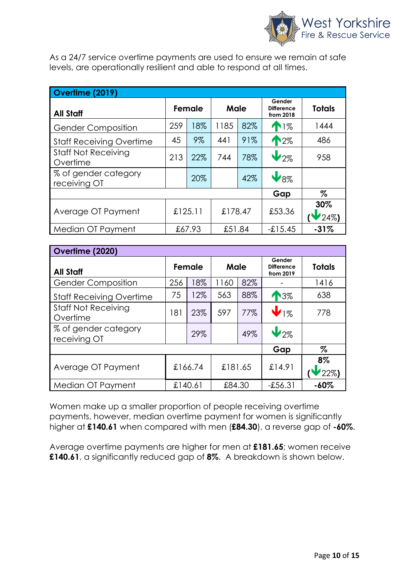

As a 24/7 service overtime payments are used to ensure we remain at safe levels, are operationally resilient and able to respond at all times.

| Overtime (2019)                        |         |     |         |     |                                          |               |  |  |
|----------------------------------------|---------|-----|---------|-----|------------------------------------------|---------------|--|--|
| <b>All Staff</b>                       | Female  |     | Male    |     | Gender<br><b>Difference</b><br>from 2018 | <b>Totals</b> |  |  |
| <b>Gender Composition</b>              | 259     | 18% | 1185    | 82% | 11%                                      | 1444          |  |  |
| <b>Staff Receiving Overtime</b>        | 45      | 9%  | 441     | 91% | 12%                                      | 486           |  |  |
| <b>Staff Not Receiving</b><br>Overtime | 213     | 22% | 744     | 78% | $V_{2\%}$                                | 958           |  |  |
| % of gender category<br>receiving OT   |         | 20% |         | 42% | $V_{8\%}$                                |               |  |  |
|                                        |         |     |         |     | Gap                                      | %             |  |  |
| Average OT Payment                     | £125.11 |     | £178.47 |     | £53.36                                   | 30%<br>24%)   |  |  |
| Median OT Payment                      | £67.93  |     | £51.84  |     | $-15.45$                                 | $-31%$        |  |  |

| Overtime (2020)                        |         |     |         |     |                                          |                 |  |
|----------------------------------------|---------|-----|---------|-----|------------------------------------------|-----------------|--|
| <b>All Staff</b>                       | Female  |     | Male    |     | Gender<br><b>Difference</b><br>from 2019 | <b>Totals</b>   |  |
| <b>Gender Composition</b>              | 256     | 18% | 1160    | 82% |                                          | 1416            |  |
| <b>Staff Receiving Overtime</b>        | 75      | 12% | 563     | 88% | 13%                                      | 638             |  |
| <b>Staff Not Receiving</b><br>Overtime | 181     | 23% | 597     | 77% | $\bigvee_{1\%}$                          | 778             |  |
| % of gender category<br>receiving OT   |         | 29% |         | 49% | $V_{2\%}$                                |                 |  |
|                                        |         |     |         |     | Gap                                      | %               |  |
| Average OT Payment                     | £166.74 |     | £181.65 |     | £14.91                                   | $8\%$<br>$22\%$ |  |
| Median OT Payment                      | £140.61 |     | £84.30  |     | $-£56.31$                                | $-60%$          |  |

Women make up a smaller proportion of people receiving overtime payments, however, median overtime payment for women is significantly higher at **£140.61** when compared with men (**£84.30**), a reverse gap of **-60%**.

Average overtime payments are higher for men at **£181.65**; women receive **£140.61**, a significantly reduced gap of **8%**. A breakdown is shown below.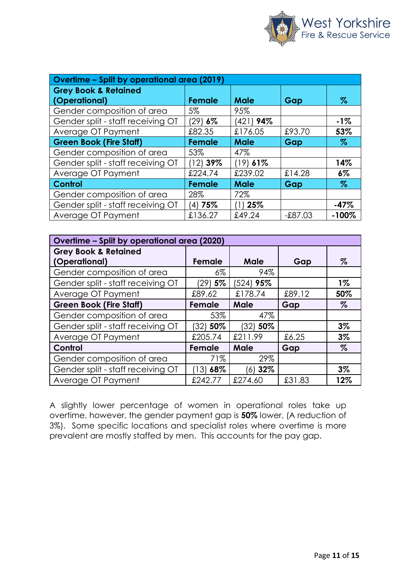

| Overtime - Split by operational area (2019) |                |             |           |         |  |  |  |
|---------------------------------------------|----------------|-------------|-----------|---------|--|--|--|
| <b>Grey Book &amp; Retained</b>             |                |             |           |         |  |  |  |
| (Operational)                               | <b>Female</b>  | <b>Male</b> | Gap       | $\%$    |  |  |  |
| Gender composition of area                  | 5%             | 95%         |           |         |  |  |  |
| Gender split - staff receiving OT           | (29) <b>6%</b> | (421) 94%   |           | $-1%$   |  |  |  |
| Average OT Payment                          | £82.35         | £176.05     | £93.70    | 53%     |  |  |  |
| <b>Green Book (Fire Staff)</b>              | <b>Female</b>  | <b>Male</b> | Gap       | $\%$    |  |  |  |
| Gender composition of area                  | 53%            | 47%         |           |         |  |  |  |
| Gender split - staff receiving OT           | (12) 39%       | $(19)$ 61%  |           | 14%     |  |  |  |
| Average OT Payment                          | £224.74        | £239.02     | £14.28    | $6\%$   |  |  |  |
| Control                                     | <b>Female</b>  | <b>Male</b> | Gap       | $\%$    |  |  |  |
| Gender composition of area                  | 28%            | 72%         |           |         |  |  |  |
| Gender split - staff receiving OT           | $(4)$ 75%      | (1) 25%     |           | $-47%$  |  |  |  |
| Average OT Payment                          | £136.27        | £49.24      | $-£87.03$ | $-100%$ |  |  |  |

| Overtime - Split by operational area (2020) |         |             |        |       |  |  |  |  |
|---------------------------------------------|---------|-------------|--------|-------|--|--|--|--|
| <b>Grey Book &amp; Retained</b>             |         |             |        |       |  |  |  |  |
| (Operational)                               | Female  | <b>Male</b> | Gap    | %     |  |  |  |  |
| Gender composition of area                  | $6\%$   | 94%         |        |       |  |  |  |  |
| Gender split - staff receiving OT           | 29) 5%  | (524) 95%   |        | $1\%$ |  |  |  |  |
| Average OT Payment                          | £89.62  | £178.74     | £89.12 | 50%   |  |  |  |  |
| <b>Green Book (Fire Staff)</b>              | Female  | Male        | Gap    | $\%$  |  |  |  |  |
| Gender composition of area                  | 53%     | 47%         |        |       |  |  |  |  |
| Gender split - staff receiving OT           | 32) 50% | (32) 50%    |        | $3\%$ |  |  |  |  |
| Average OT Payment                          | £205.74 | £211.99     | £6.25  | $3\%$ |  |  |  |  |
| Control                                     | Female  | <b>Male</b> | Gap    | %     |  |  |  |  |
| Gender composition of area                  | 71%     | 29%         |        |       |  |  |  |  |
| Gender split - staff receiving OT           | 13) 68% | $(6)$ 32%   |        | $3\%$ |  |  |  |  |
| Average OT Payment                          | £242.77 | £274.60     | £31.83 | 12%   |  |  |  |  |

A slightly lower percentage of women in operational roles take up overtime, however, the gender payment gap is **50%** lower, (A reduction of 3%). Some specific locations and specialist roles where overtime is more prevalent are mostly staffed by men. This accounts for the pay gap.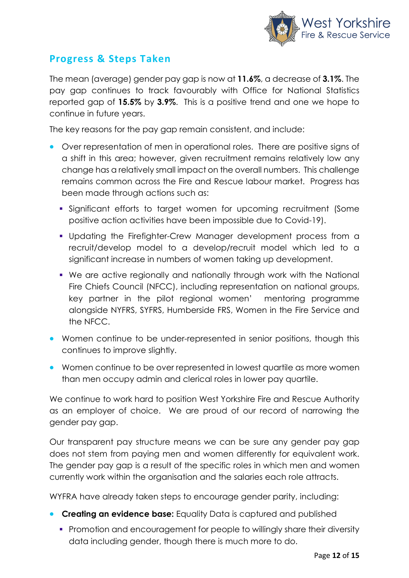

### **Progress & Steps Taken**

The mean (average) gender pay gap is now at **11.6%**, a decrease of **3.1%**. The pay gap continues to track favourably with Office for National Statistics reported gap of **15.5%** by **3.9%**. This is a positive trend and one we hope to continue in future years.

The key reasons for the pay gap remain consistent, and include:

- Over representation of men in operational roles. There are positive signs of a shift in this area; however, given recruitment remains relatively low any change has a relatively small impact on the overall numbers. This challenge remains common across the Fire and Rescue labour market. Progress has been made through actions such as:
	- Significant efforts to target women for upcoming recruitment (Some positive action activities have been impossible due to Covid-19).
	- Updating the Firefighter-Crew Manager development process from a recruit/develop model to a develop/recruit model which led to a significant increase in numbers of women taking up development.
	- We are active regionally and nationally through work with the National Fire Chiefs Council (NFCC), including representation on national groups, key partner in the pilot regional women' mentoring programme alongside NYFRS, SYFRS, Humberside FRS, Women in the Fire Service and the NFCC.
- Women continue to be under-represented in senior positions, though this continues to improve slightly.
- Women continue to be over represented in lowest quartile as more women than men occupy admin and clerical roles in lower pay quartile.

We continue to work hard to position West Yorkshire Fire and Rescue Authority as an employer of choice. We are proud of our record of narrowing the gender pay gap.

Our transparent pay structure means we can be sure any gender pay gap does not stem from paying men and women differently for equivalent work. The gender pay gap is a result of the specific roles in which men and women currently work within the organisation and the salaries each role attracts.

WYFRA have already taken steps to encourage gender parity, including:

- **Creating an evidence base:** Equality Data is captured and published
	- **Promotion and encouragement for people to willingly share their diversity** data including gender, though there is much more to do.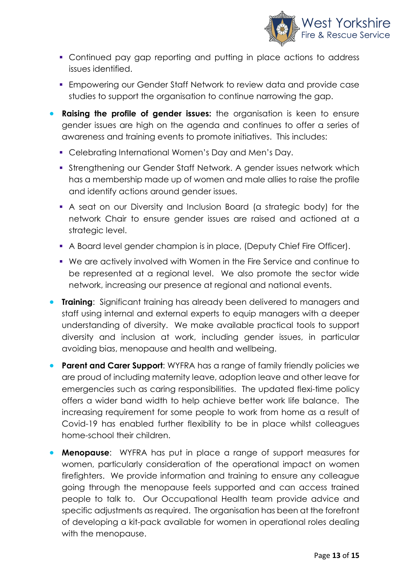

- Continued pay gap reporting and putting in place actions to address issues identified.
- Empowering our Gender Staff Network to review data and provide case studies to support the organisation to continue narrowing the gap.
- **Raising the profile of gender issues:** the organisation is keen to ensure gender issues are high on the agenda and continues to offer a series of awareness and training events to promote initiatives. This includes:
	- Celebrating International Women's Day and Men's Day.
	- **Strengthening our Gender Staff Network. A gender issues network which** has a membership made up of women and male allies to raise the profile and identify actions around gender issues.
	- A seat on our Diversity and Inclusion Board (a strategic body) for the network Chair to ensure gender issues are raised and actioned at a strategic level.
	- A Board level gender champion is in place, (Deputy Chief Fire Officer).
	- We are actively involved with Women in the Fire Service and continue to be represented at a regional level. We also promote the sector wide network, increasing our presence at regional and national events.
- **Training**: Significant training has already been delivered to managers and staff using internal and external experts to equip managers with a deeper understanding of diversity. We make available practical tools to support diversity and inclusion at work, including gender issues, in particular avoiding bias, menopause and health and wellbeing.
- **Parent and Carer Support**: WYFRA has a range of family friendly policies we are proud of including maternity leave, adoption leave and other leave for emergencies such as caring responsibilities. The updated flexi-time policy offers a wider band width to help achieve better work life balance. The increasing requirement for some people to work from home as a result of Covid-19 has enabled further flexibility to be in place whilst colleagues home-school their children.
- **Menopause**: WYFRA has put in place a range of support measures for women, particularly consideration of the operational impact on women firefighters. We provide information and training to ensure any colleague going through the menopause feels supported and can access trained people to talk to. Our Occupational Health team provide advice and specific adjustments as required. The organisation has been at the forefront of developing a kit-pack available for women in operational roles dealing with the menopause.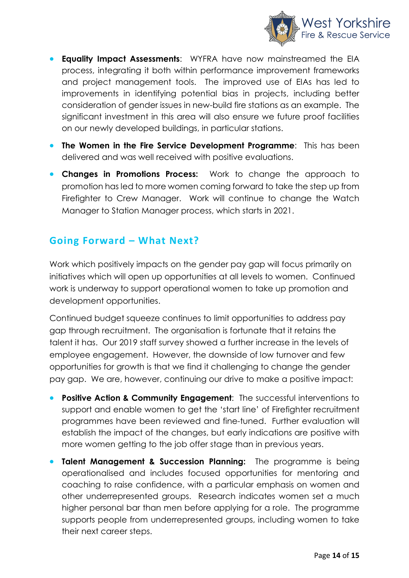

- **Equality Impact Assessments:** WYFRA have now mainstreamed the EIA process, integrating it both within performance improvement frameworks and project management tools. The improved use of EIAs has led to improvements in identifying potential bias in projects, including better consideration of gender issues in new-build fire stations as an example. The significant investment in this area will also ensure we future proof facilities on our newly developed buildings, in particular stations.
- **The Women in the Fire Service Development Programme**: This has been delivered and was well received with positive evaluations.
- **Changes in Promotions Process:** Work to change the approach to promotion has led to more women coming forward to take the step up from Firefighter to Crew Manager. Work will continue to change the Watch Manager to Station Manager process, which starts in 2021.

### **Going Forward – What Next?**

Work which positively impacts on the gender pay gap will focus primarily on initiatives which will open up opportunities at all levels to women. Continued work is underway to support operational women to take up promotion and development opportunities.

Continued budget squeeze continues to limit opportunities to address pay gap through recruitment. The organisation is fortunate that it retains the talent it has. Our 2019 staff survey showed a further increase in the levels of employee engagement. However, the downside of low turnover and few opportunities for growth is that we find it challenging to change the gender pay gap. We are, however, continuing our drive to make a positive impact:

- **Positive Action & Community Engagement:** The successful interventions to support and enable women to get the 'start line' of Firefighter recruitment programmes have been reviewed and fine-tuned. Further evaluation will establish the impact of the changes, but early indications are positive with more women getting to the job offer stage than in previous years.
- **Talent Management & Succession Planning:** The programme is being operationalised and includes focused opportunities for mentoring and coaching to raise confidence, with a particular emphasis on women and other underrepresented groups. Research indicates women set a much higher personal bar than men before applying for a role. The programme supports people from underrepresented groups, including women to take their next career steps.